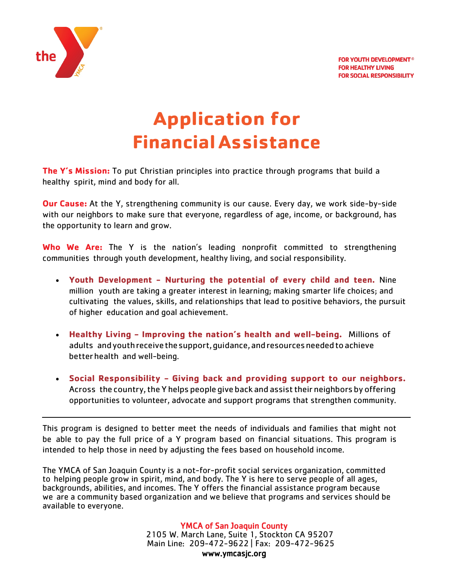

# **Application for FinancialAssistance**

**The Y's Mission:** To put Christian principles into practice through programs that build a healthy spirit, mind and body for all.

**Our Cause:** At the Y, strengthening community is our cause. Every day, we work side-by-side with our neighbors to make sure that everyone, regardless of age, income, or background, has the opportunity to learn and grow.

**Who We Are:** The Y is the nation's leading nonprofit committed to strengthening communities through youth development, healthy living, and social responsibility.

- **Youth Development - Nurturing the potential of every child and teen.** Nine million youth are taking a greater interest in learning; making smarter life choices; and cultivating the values, skills, and relationships that lead to positive behaviors, the pursuit of higher education and goal achievement.
- **Healthy Living - Improving the nation's health and well-being.** Millions of adults andyouthreceivethesupport,guidance,andresourcesneededtoachieve betterhealth and well-being.
- **Social Responsibility - Giving back and providing support to our neighbors.** Across the country, the Y helps people give back and assist their neighbors by offering opportunities to volunteer, advocate and support programs that strengthen community.

This program is designed to better meet the needs of individuals and families that might not be able to pay the full price of a Y program based on financial situations. This program is intended to help those in need by adjusting the fees based on household income.

The YMCA of San Joaquin County is a not-for-profit social services organization, committed to helping people grow in spirit, mind, and body. The Y is here to serve people of all ages, backgrounds, abilities, and incomes. The Y offers the financial assistance program because we are a community based organization and we believe that programs and services should be available to everyone.

> YMCA of San Joaquin County<br>2105 W. March Lane, Suite 1, Stockton CA 95207 Main Line: 209-472-9622 | Fax: 209-472-9625 [www.ymcasjc.org](http://www.ymcasjc.org/)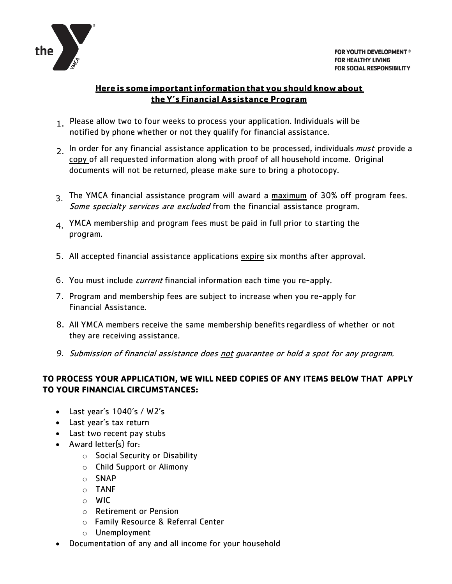

## **Here is some important informationthat you should know about theY's Financial Assistance Program**

- 1 Please allow two to four weeks to process your application. Individuals will be notified by phone whether or not they qualify for financial assistance.
- 2. In order for any financial assistance application to be processed, individuals *must* provide a copy of all requested information along with proof of all household income. Original documents will not be returned, please make sure to bring a photocopy.
- 3. The YMCA financial assistance program will award a maximum of 30% off program fees. Some specialty services are excluded from the financial assistance program.
- $4.$  YMCA membership and program fees must be paid in full prior to starting the program.
- 5. All accepted financial assistance applications expire six months after approval.
- 6. You must include *current* financial information each time you re-apply.
- 7. Program and membership fees are subject to increase when you re-apply for Financial Assistance.
- 8. All YMCA members receive the same membership benefits regardless of whether or not they are receiving assistance.
- *9.* Submission of financial assistance does not guarantee or hold a spot for any program.

### **TO PROCESS YOUR APPLICATION, WE WILL NEED COPIES OF ANY ITEMS BELOW THAT APPLY TO YOUR FINANCIAL CIRCUMSTANCES:**

- Last year's 1040's / W2's
- Last year's tax return
- Last two recent pay stubs
- Award letter(s) for:
	- o Social Security or Disability
	- o Child Support or Alimony
	- o SNAP
	- o TANF
	- o WIC
	- o Retirement or Pension
	- o Family Resource & Referral Center
	- o Unemployment
- Documentation of any and all income for your household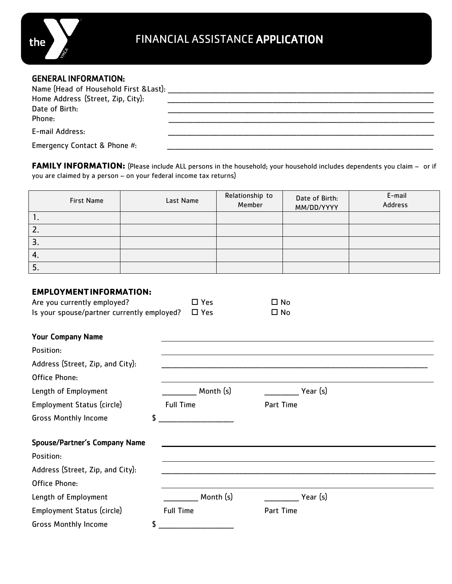

#### GENERAL INFORMATION:

| Name (Head of Household First & Last):<br>Home Address (Street, Zip, City):<br>Date of Birth:<br>Phone: |  |
|---------------------------------------------------------------------------------------------------------|--|
| E-mail Address:                                                                                         |  |
| Emergency Contact & Phone #:                                                                            |  |

**FAMILY INFORMATION:** (Please include ALL persons in the household; your household includes dependents you claim – or if you are claimed by a person – on your federal income tax returns)

| <b>First Name</b> | Last Name | Relationship to<br>Member | Date of Birth:<br>MM/DD/YYYY | E-mail<br><b>Address</b> |
|-------------------|-----------|---------------------------|------------------------------|--------------------------|
| Ι.                |           |                           |                              |                          |
| 2.                |           |                           |                              |                          |
| 3.                |           |                           |                              |                          |
| 4.                |           |                           |                              |                          |
| 5.                |           |                           |                              |                          |

#### **EMPLOYMENTINFORMATION:**

| Are you currently employed?                | $\square$ Yes | $\square$ No |  |
|--------------------------------------------|---------------|--------------|--|
| Is your spouse/partner currently employed? | $\Box$ Yes    | $\square$ No |  |
| <b>Your Company Name</b>                   |               |              |  |
| Position:                                  |               |              |  |
| Address (Street, Zip, and City):           |               |              |  |
| Office Phone:                              |               |              |  |
| Length of Employment                       | Month (s)     | Year $(s)$   |  |

Employment Status (circle) Full Time Full Time Part Time

Gross Monthly Income  $\uparrow$ 

| <b>DI USS MUTHER INCOME</b>          | ↵                |           |  |
|--------------------------------------|------------------|-----------|--|
| <b>Spouse/Partner's Company Name</b> |                  |           |  |
| Position:                            |                  |           |  |
| Address (Street, Zip, and City):     |                  |           |  |
| Office Phone:                        |                  |           |  |
| Length of Employment                 | Month (s)        | Year (s)  |  |
| Employment Status (circle)           | <b>Full Time</b> | Part Time |  |

Gross Monthly Income \$ \_\_\_\_\_\_\_\_\_\_\_\_\_\_\_\_\_\_\_\_\_\_\_\_\_\_\_\_

the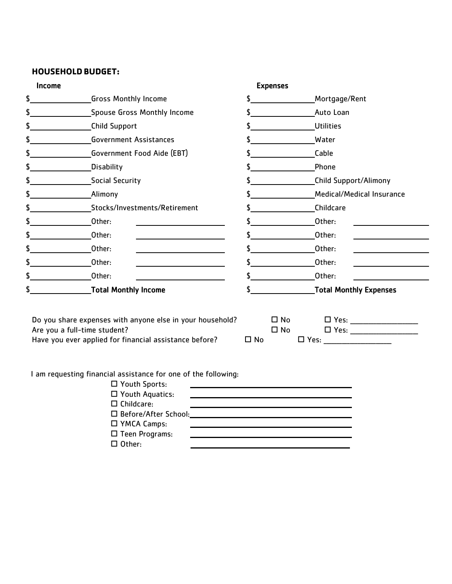## **HOUSEHOLDBUDGET:**

| \$            | <b>Expenses</b><br>Income     |  |                               |
|---------------|-------------------------------|--|-------------------------------|
|               | <b>Gross Monthly Income</b>   |  | Mortgage/Rent                 |
| \$            | Spouse Gross Monthly Income   |  | Auto Loan                     |
| \$            | Child Support                 |  | <b>Utilities</b>              |
| \$            | <b>Government Assistances</b> |  | <b>Water</b>                  |
| \$            | Government Food Aide (EBT)    |  | Cable                         |
| \$            | Disability                    |  | Phone                         |
| \$            | Social Security               |  | <b>Child Support/Alimony</b>  |
| \$            | <b>Alimony</b>                |  | Medical/Medical Insurance     |
| \$            | Stocks/Investments/Retirement |  | Childcare                     |
| \$            | Other:                        |  | Other:                        |
| \$            | Other:                        |  | Other:                        |
| \$            | Other:                        |  | Other:                        |
| $\frac{1}{2}$ | Other:                        |  | Other:                        |
| \$            | Other:                        |  | Other:                        |
| \$            | <b>Total Monthly Income</b>   |  | <b>Total Monthly Expenses</b> |

I am requesting financial assistance for one of the following:

| $\Box$ Youth Sports:   |  |
|------------------------|--|
| $\Box$ Youth Aquatics: |  |
| $\Box$ Childcare:      |  |
| □ Before/After School: |  |
| $\Box$ YMCA Camps:     |  |
| $\Box$ Teen Programs:  |  |
| Other:<br>LJ.          |  |